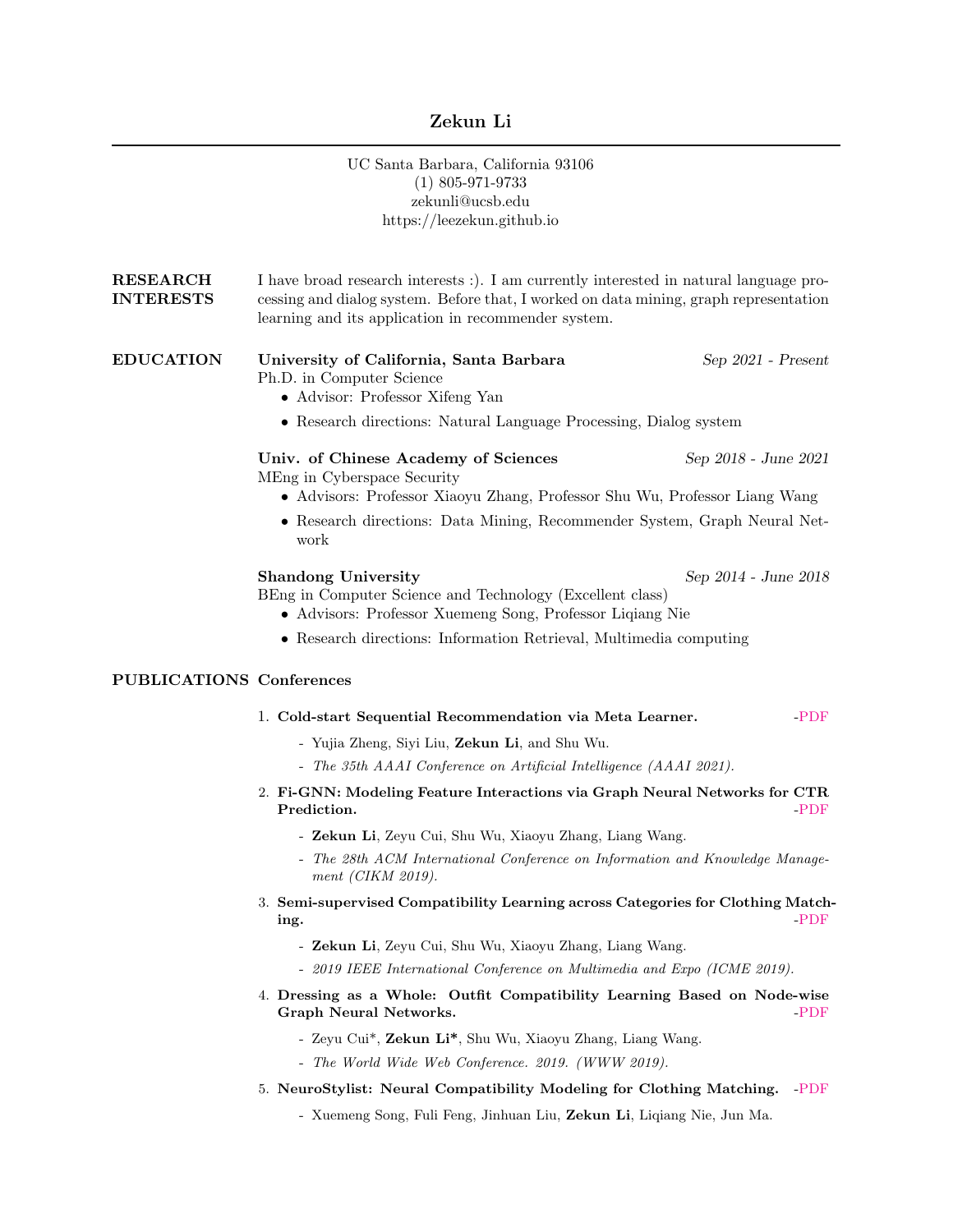# Zekun Li

|                                     | UC Santa Barbara, California 93106<br>$(1)$ 805-971-9733<br>zekunli@ucsb.edu<br>https://leezekun.github.io                                                                                                                             |                      |
|-------------------------------------|----------------------------------------------------------------------------------------------------------------------------------------------------------------------------------------------------------------------------------------|----------------------|
| <b>RESEARCH</b><br><b>INTERESTS</b> | I have broad research interests :). I am currently interested in natural language pro-<br>cessing and dialog system. Before that, I worked on data mining, graph representation<br>learning and its application in recommender system. |                      |
| <b>EDUCATION</b>                    | University of California, Santa Barbara<br>Ph.D. in Computer Science<br>• Advisor: Professor Xifeng Yan                                                                                                                                | Sep 2021 - Present   |
|                                     | • Research directions: Natural Language Processing, Dialog system                                                                                                                                                                      |                      |
|                                     | Univ. of Chinese Academy of Sciences<br>MEng in Cyberspace Security<br>• Advisors: Professor Xiaoyu Zhang, Professor Shu Wu, Professor Liang Wang                                                                                      | Sep 2018 - June 2021 |
|                                     | • Research directions: Data Mining, Recommender System, Graph Neural Net-<br>work                                                                                                                                                      |                      |
|                                     | <b>Shandong University</b><br>Sep 2014 - June 2018<br>BEng in Computer Science and Technology (Excellent class)<br>• Advisors: Professor Xuemeng Song, Professor Liqiang Nie                                                           |                      |
|                                     | • Research directions: Information Retrieval, Multimedia computing                                                                                                                                                                     |                      |
| <b>PUBLICATIONS Conferences</b>     |                                                                                                                                                                                                                                        |                      |
|                                     | 1. Cold-start Sequential Recommendation via Meta Learner.<br>$-PDF$                                                                                                                                                                    |                      |
|                                     | - Yujia Zheng, Siyi Liu, Zekun Li, and Shu Wu.                                                                                                                                                                                         |                      |
|                                     | - The 35th AAAI Conference on Artificial Intelligence (AAAI 2021).                                                                                                                                                                     |                      |
|                                     | 2. Fi-GNN: Modeling Feature Interactions via Graph Neural Networks for CTR<br>Prediction.<br>$-PDF$                                                                                                                                    |                      |
|                                     | - Zekun Li, Zeyu Cui, Shu Wu, Xiaoyu Zhang, Liang Wang.<br>The 28th ACM International Conference on Information and Knowledge Manage-<br>ment (CIKM 2019).                                                                             |                      |
|                                     | 3. Semi-supervised Compatibility Learning across Categories for Clothing Match-<br>-PDF<br>ing.                                                                                                                                        |                      |
|                                     | - Zekun Li, Zeyu Cui, Shu Wu, Xiaoyu Zhang, Liang Wang.                                                                                                                                                                                |                      |
|                                     | - 2019 IEEE International Conference on Multimedia and Expo (ICME 2019).                                                                                                                                                               |                      |
|                                     | 4. Dressing as a Whole: Outfit Compatibility Learning Based on Node-wise<br>Graph Neural Networks.<br>$-PDF$                                                                                                                           |                      |
|                                     | - Zeyu Cui*, Zekun Li*, Shu Wu, Xiaoyu Zhang, Liang Wang.                                                                                                                                                                              |                      |
|                                     | - The World Wide Web Conference. 2019. (WWW 2019).                                                                                                                                                                                     |                      |

- 5. NeuroStylist: Neural Compatibility Modeling for Clothing Matching. [-PDF](https://dl.acm.org/doi/pdf/10.1145/3123266.3123314)
	- Xuemeng Song, Fuli Feng, Jinhuan Liu, Zekun Li, Liqiang Nie, Jun Ma.